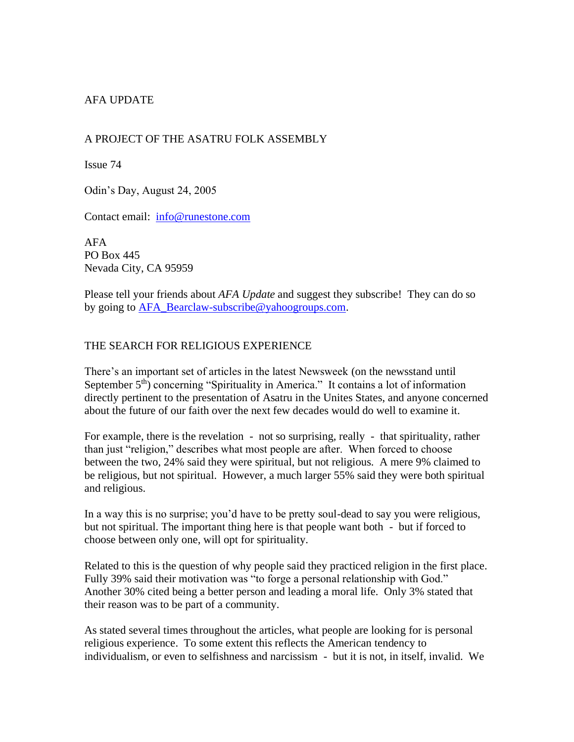# AFA UPDATE

### A PROJECT OF THE ASATRU FOLK ASSEMBLY

Issue 74

Odin's Day, August 24, 2005

Contact email: [info@runestone.com](mailto:info@runestone.com)

AFA PO Box 445 Nevada City, CA 95959

Please tell your friends about *AFA Update* and suggest they subscribe! They can do so by going to [AFA\\_Bearclaw-subscribe@yahoogroups.com.](mailto:AFA_Bearclaw-subscribe@yahoogroups.com)

### THE SEARCH FOR RELIGIOUS EXPERIENCE

There's an important set of articles in the latest Newsweek (on the newsstand until September 5<sup>th</sup>) concerning "Spirituality in America." It contains a lot of information directly pertinent to the presentation of Asatru in the Unites States, and anyone concerned about the future of our faith over the next few decades would do well to examine it.

For example, there is the revelation - not so surprising, really - that spirituality, rather than just "religion," describes what most people are after. When forced to choose between the two, 24% said they were spiritual, but not religious. A mere 9% claimed to be religious, but not spiritual. However, a much larger 55% said they were both spiritual and religious.

In a way this is no surprise; you'd have to be pretty soul-dead to say you were religious, but not spiritual. The important thing here is that people want both - but if forced to choose between only one, will opt for spirituality.

Related to this is the question of why people said they practiced religion in the first place. Fully 39% said their motivation was "to forge a personal relationship with God." Another 30% cited being a better person and leading a moral life. Only 3% stated that their reason was to be part of a community.

As stated several times throughout the articles, what people are looking for is personal religious experience. To some extent this reflects the American tendency to individualism, or even to selfishness and narcissism - but it is not, in itself, invalid. We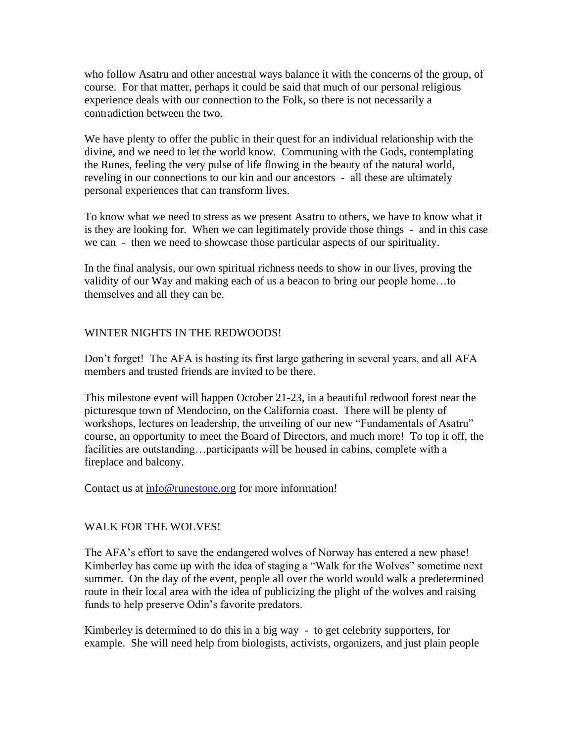who follow Asatru and other ancestral ways balance it with the concerns of the group, of course. For that matter, perhaps it could be said that much of our personal religious experience deals with our connection to the Folk, so there is not necessarily a contradiction between the two.

We have plenty to offer the public in their quest for an individual relationship with the divine, and we need to let the world know. Communing with the Gods, contemplating the Runes, feeling the very pulse of life flowing in the beauty of the natural world, reveling in our connections to our kin and our ancestors - all these are ultimately personal experiences that can transform lives.

To know what we need to stress as we present Asatru to others, we have to know what it is they are looking for. When we can legitimately provide those things - and in this case we can - then we need to showcase those particular aspects of our spirituality.

In the final analysis, our own spiritual richness needs to show in our lives, proving the validity of our Way and making each of us a beacon to bring our people home…to themselves and all they can be.

### WINTER NIGHTS IN THE REDWOODS!

Don't forget! The AFA is hosting its first large gathering in several years, and all AFA members and trusted friends are invited to be there.

This milestone event will happen October 21-23, in a beautiful redwood forest near the picturesque town of Mendocino, on the California coast. There will be plenty of workshops, lectures on leadership, the unveiling of our new "Fundamentals of Asatru" course, an opportunity to meet the Board of Directors, and much more! To top it off, the facilities are outstanding...participants will be housed in cabins, complete with a fireplace and balcony.

Contact us at  $\frac{info@runestone.org}{if}$  for more information!

### WALK FOR THE WOLVES!

The AFA's effort to save the endangered wolves of Norway has entered a new phase! Kimberley has come up with the idea of staging a "Walk for the Wolves" sometime next summer. On the day of the event, people all over the world would walk a predetermined route in their local area with the idea of publicizing the plight of the wolves and raising funds to help preserve Odin's favorite predators.

Kimberley is determined to do this in a big way - to get celebrity supporters, for example. She will need help from biologists, activists, organizers, and just plain people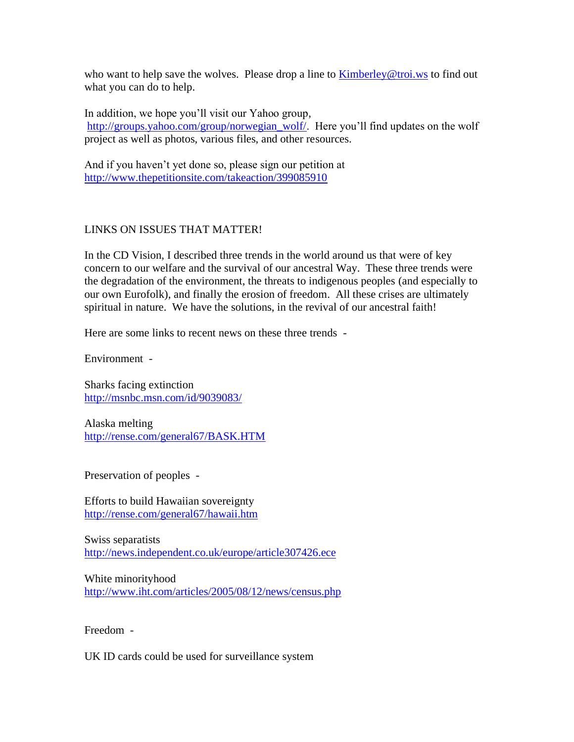who want to help save the wolves. Please drop a line to  $\frac{\text{Kinberley@troi.ws}}{\text{Kimberley@troi.ws}}$  to find out what you can do to help.

In addition, we hope you'll visit our Yahoo group, [http://groups.yahoo.com/group/norwegian\\_wolf/.](http://groups.yahoo.com/group/norwegian_wolf/) Here you'll find updates on the wolf project as well as photos, various files, and other resources.

And if you haven't yet done so, please sign our petition at <http://www.thepetitionsite.com/takeaction/399085910>

## LINKS ON ISSUES THAT MATTER!

In the CD Vision, I described three trends in the world around us that were of key concern to our welfare and the survival of our ancestral Way. These three trends were the degradation of the environment, the threats to indigenous peoples (and especially to our own Eurofolk), and finally the erosion of freedom. All these crises are ultimately spiritual in nature. We have the solutions, in the revival of our ancestral faith!

Here are some links to recent news on these three trends -

Environment -

Sharks facing extinction <http://msnbc.msn.com/id/9039083/>

Alaska melting <http://rense.com/general67/BASK.HTM>

Preservation of peoples -

Efforts to build Hawaiian sovereignty <http://rense.com/general67/hawaii.htm>

Swiss separatists <http://news.independent.co.uk/europe/article307426.ece>

White minorityhood <http://www.iht.com/articles/2005/08/12/news/census.php>

Freedom -

UK ID cards could be used for surveillance system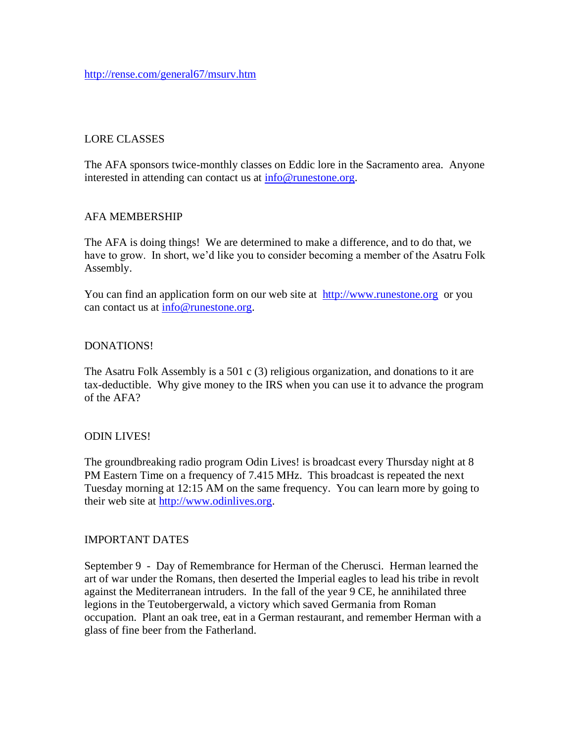### LORE CLASSES

The AFA sponsors twice-monthly classes on Eddic lore in the Sacramento area. Anyone interested in attending can contact us at [info@runestone.org.](mailto:info@runestone.org)

### AFA MEMBERSHIP

The AFA is doing things! We are determined to make a difference, and to do that, we have to grow. In short, we'd like you to consider becoming a member of the Asatru Folk Assembly.

You can find an application form on our web site at [http://www.runestone.org](http://www.runestone.org/) or you can contact us at [info@runestone.org.](mailto:info@runestone.org)

### DONATIONS!

The Asatru Folk Assembly is a 501 c (3) religious organization, and donations to it are tax-deductible. Why give money to the IRS when you can use it to advance the program of the AFA?

### ODIN LIVES!

The groundbreaking radio program Odin Lives! is broadcast every Thursday night at 8 PM Eastern Time on a frequency of 7.415 MHz. This broadcast is repeated the next Tuesday morning at 12:15 AM on the same frequency. You can learn more by going to their web site at [http://www.odinlives.org.](http://www.odinlives.org/)

### IMPORTANT DATES

September 9 - Day of Remembrance for Herman of the Cherusci. Herman learned the art of war under the Romans, then deserted the Imperial eagles to lead his tribe in revolt against the Mediterranean intruders. In the fall of the year 9 CE, he annihilated three legions in the Teutobergerwald, a victory which saved Germania from Roman occupation. Plant an oak tree, eat in a German restaurant, and remember Herman with a glass of fine beer from the Fatherland.